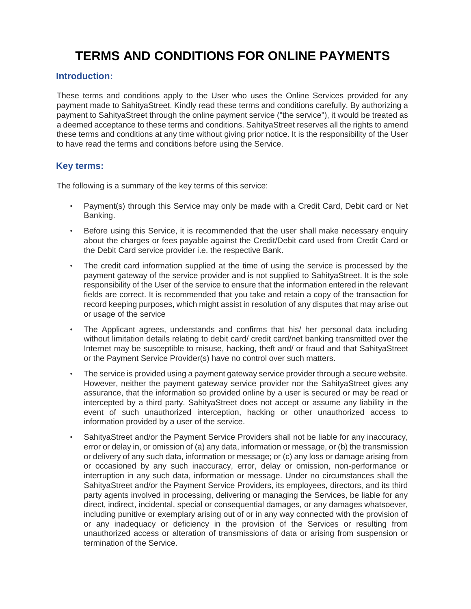# **TERMS AND CONDITIONS FOR ONLINE PAYMENTS**

### **Introduction:**

These terms and conditions apply to the User who uses the Online Services provided for any payment made to SahityaStreet. Kindly read these terms and conditions carefully. By authorizing a payment to SahityaStreet through the online payment service ("the service"), it would be treated as a deemed acceptance to these terms and conditions. SahityaStreet reserves all the rights to amend these terms and conditions at any time without giving prior notice. It is the responsibility of the User to have read the terms and conditions before using the Service.

#### **Key terms:**

The following is a summary of the key terms of this service:

- Payment(s) through this Service may only be made with a Credit Card, Debit card or Net Banking.
- Before using this Service, it is recommended that the user shall make necessary enquiry about the charges or fees payable against the Credit/Debit card used from Credit Card or the Debit Card service provider i.e. the respective Bank.
- The credit card information supplied at the time of using the service is processed by the payment gateway of the service provider and is not supplied to SahityaStreet. It is the sole responsibility of the User of the service to ensure that the information entered in the relevant fields are correct. It is recommended that you take and retain a copy of the transaction for record keeping purposes, which might assist in resolution of any disputes that may arise out or usage of the service
- The Applicant agrees, understands and confirms that his/ her personal data including without limitation details relating to debit card/ credit card/net banking transmitted over the Internet may be susceptible to misuse, hacking, theft and/ or fraud and that SahityaStreet or the Payment Service Provider(s) have no control over such matters.
- The service is provided using a payment gateway service provider through a secure website. However, neither the payment gateway service provider nor the SahityaStreet gives any assurance, that the information so provided online by a user is secured or may be read or intercepted by a third party. SahityaStreet does not accept or assume any liability in the event of such unauthorized interception, hacking or other unauthorized access to information provided by a user of the service.
- SahityaStreet and/or the Payment Service Providers shall not be liable for any inaccuracy, error or delay in, or omission of (a) any data, information or message, or (b) the transmission or delivery of any such data, information or message; or (c) any loss or damage arising from or occasioned by any such inaccuracy, error, delay or omission, non-performance or interruption in any such data, information or message. Under no circumstances shall the SahityaStreet and/or the Payment Service Providers, its employees, directors, and its third party agents involved in processing, delivering or managing the Services, be liable for any direct, indirect, incidental, special or consequential damages, or any damages whatsoever, including punitive or exemplary arising out of or in any way connected with the provision of or any inadequacy or deficiency in the provision of the Services or resulting from unauthorized access or alteration of transmissions of data or arising from suspension or termination of the Service.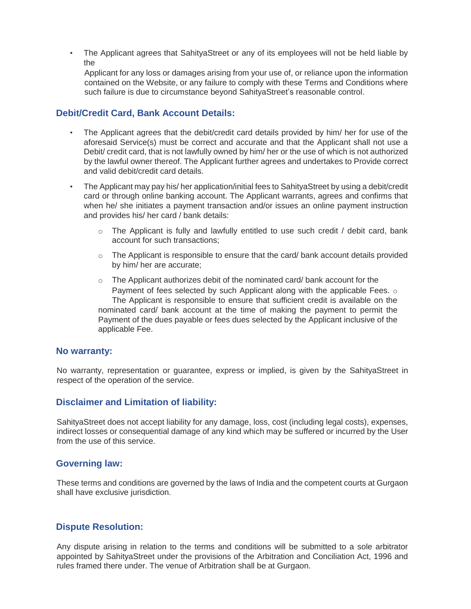• The Applicant agrees that SahityaStreet or any of its employees will not be held liable by the

Applicant for any loss or damages arising from your use of, or reliance upon the information contained on the Website, or any failure to comply with these Terms and Conditions where such failure is due to circumstance beyond SahityaStreet's reasonable control.

#### **Debit/Credit Card, Bank Account Details:**

- The Applicant agrees that the debit/credit card details provided by him/ her for use of the aforesaid Service(s) must be correct and accurate and that the Applicant shall not use a Debit/ credit card, that is not lawfully owned by him/ her or the use of which is not authorized by the lawful owner thereof. The Applicant further agrees and undertakes to Provide correct and valid debit/credit card details.
- The Applicant may pay his/ her application/initial fees to SahityaStreet by using a debit/credit card or through online banking account. The Applicant warrants, agrees and confirms that when he/ she initiates a payment transaction and/or issues an online payment instruction and provides his/ her card / bank details:
	- $\circ$  The Applicant is fully and lawfully entitled to use such credit / debit card, bank account for such transactions;
	- $\circ$  The Applicant is responsible to ensure that the card/ bank account details provided by him/ her are accurate;
	- $\circ$  The Applicant authorizes debit of the nominated card/ bank account for the Payment of fees selected by such Applicant along with the applicable Fees. o The Applicant is responsible to ensure that sufficient credit is available on the nominated card/ bank account at the time of making the payment to permit the Payment of the dues payable or fees dues selected by the Applicant inclusive of the applicable Fee.

#### **No warranty:**

No warranty, representation or guarantee, express or implied, is given by the SahityaStreet in respect of the operation of the service.

#### **Disclaimer and Limitation of liability:**

SahityaStreet does not accept liability for any damage, loss, cost (including legal costs), expenses, indirect losses or consequential damage of any kind which may be suffered or incurred by the User from the use of this service.

#### **Governing law:**

These terms and conditions are governed by the laws of India and the competent courts at Gurgaon shall have exclusive jurisdiction.

#### **Dispute Resolution:**

Any dispute arising in relation to the terms and conditions will be submitted to a sole arbitrator appointed by SahityaStreet under the provisions of the Arbitration and Conciliation Act, 1996 and rules framed there under. The venue of Arbitration shall be at Gurgaon.